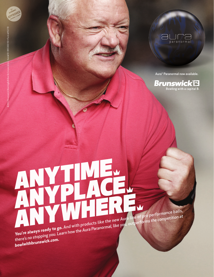

Aura ™ Paranormal now available.

**Brunswick<sup>®</sup>** Bowling with a capital B.

**You're always ready to go.**  And with products like the new Aura line of pro performance balls, there's no stopping you. Learn how the Aura Paranormal, like you, outperforms the competition at there's no stopping you. Learn how the Aura Paranormal, li

**USBCVED**